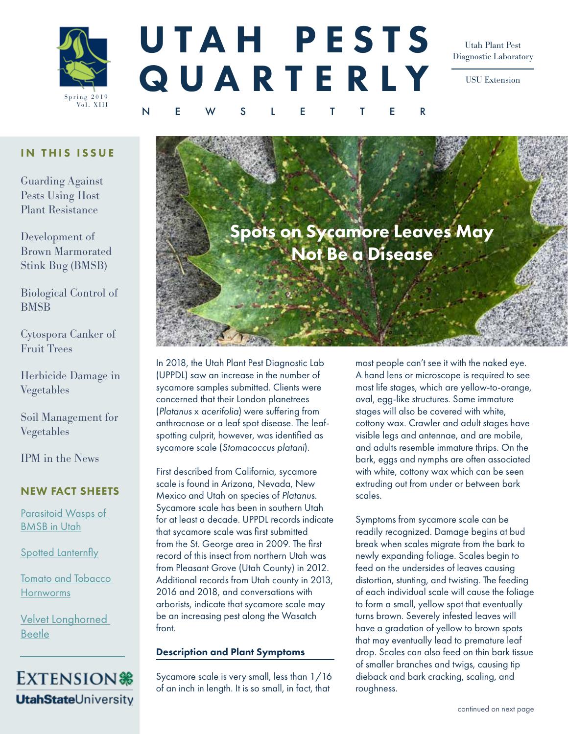

# UTAH PESTS QUARTE RLY

NEWSLETTER

Utah Plant Pest Diagnostic Laboratory

USU Extension

### IN THIS ISSUE

Guarding Against Pests Using Host Plant Resistance

Development of Brown Marmorated Stink Bug (BMSB)

Biological Control of **BMSB** 

Cytospora Canker of Fruit Trees

Herbicide Damage in Vegetables

Soil Management for Vegetables

IPM in the News

### NEW FACT SHEETS

[Parasitoid Wasps of](https://digitalcommons.usu.edu/cgi/viewcontent.cgi?article=2991&context=extension_curall)  [BMSB in Utah](https://digitalcommons.usu.edu/cgi/viewcontent.cgi?article=2991&context=extension_curall)

[Spotted Lanternfly](https://digitalcommons.usu.edu/cgi/viewcontent.cgi?article=2958&context=extension_curall)

[Tomato and Tobacco](https://digitalcommons.usu.edu/cgi/viewcontent.cgi?article=2975&context=extension_curall)  **[Hornworms](https://digitalcommons.usu.edu/cgi/viewcontent.cgi?article=2975&context=extension_curall)** 

[Velvet Longhorned](https://digitalcommons.usu.edu/cgi/viewcontent.cgi?article=2976&context=extension_curall)  **[Beetle](https://digitalcommons.usu.edu/cgi/viewcontent.cgi?article=2976&context=extension_curall)** 



# Spots on Sycamore Leaves May Not Be a Disease

In 2018, the [Utah Plant Pest Diagnostic Lab](https://utahpests.usu.edu/uppdl/)  (UPPDL) saw an increase in the number of sycamore samples submitted. Clients were concerned that their London planetrees (*Platanus* x *acerifolia*) were suffering from anthracnose or a leaf spot disease. The leafspotting culprit, however, was identified as sycamore scale (*Stomacoccus platani*).

First described from California, sycamore scale is found in Arizona, Nevada, New Mexico and Utah on species of *Platanus*. Sycamore scale has been in southern Utah for at least a decade. UPPDL records indicate that sycamore scale was first submitted from the St. George area in 2009. The first record of this insect from northern Utah was from Pleasant Grove (Utah County) in 2012. Additional records from Utah county in 2013, 2016 and 2018, and conversations with arborists, indicate that sycamore scale may be an increasing pest along the Wasatch front.

### Description and Plant Symptoms

Sycamore scale is very small, less than 1/16 of an inch in length. It is so small, in fact, that

most people can't see it with the naked eye. A hand lens or microscope is required to see most life stages, which are yellow-to-orange, oval, egg-like structures. Some immature stages will also be covered with white, cottony wax. Crawler and adult stages have visible legs and antennae, and are mobile, and adults resemble immature thrips. On the bark, eggs and nymphs are often associated with white, cottony wax which can be seen extruding out from under or between bark scales.

Symptoms from sycamore scale can be readily recognized. Damage begins at bud break when scales migrate from the bark to newly expanding foliage. Scales begin to feed on the undersides of leaves causing distortion, stunting, and twisting. The feeding of each individual scale will cause the foliage to form a small, yellow spot that eventually turns brown. Severely infested leaves will have a gradation of yellow to brown spots that may eventually lead to premature leaf drop. Scales can also feed on thin bark tissue of smaller branches and twigs, causing tip dieback and bark cracking, scaling, and roughness.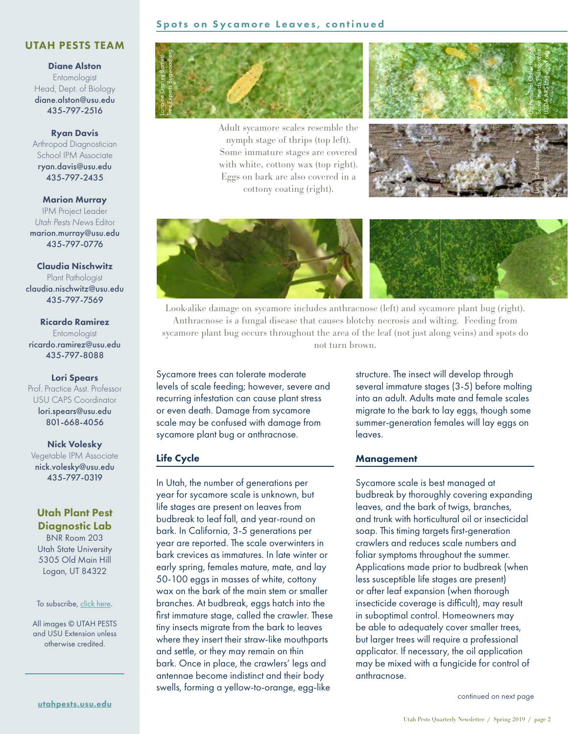### UTAH PESTS TEAM

Diane Alston Entomologist Head, Dept. of Biology [diane.alston@usu.edu](mailto:diane.alston%40usu.edu?subject=) 435-797-2516

#### Ryan Davis

Arthropod Diagnostician School IPM Associate [ryan.davis@usu.edu](mailto:ryan.davis%40usu.edu?subject=) 435-797-2435

Marion Murray IPM Project Leader *Utah Pests News* Editor [marion.murray@usu.edu](mailto:marion.murray%40usu.edu?subject=) 435-797-0776

Claudia Nischwitz Plant Pathologist [claudia.nischwitz@usu.edu](mailto:claudia.nischwitz%40usu.edu%0D?subject=) 435-797-7569

Ricardo Ramirez **Entomologist** [ricardo.ramirez@usu.edu](mailto:ricardo.ramirez%40usu.edu?subject=) 435-797-8088

Lori Spears Prof. Practice Asst. Professor USU CAPS Coordinator

[lori.spears@usu.edu](mailto:lori.spears%40usu.edu?subject=) 801-668-4056

Nick Volesky Vegetable IPM Associate nick.volesk[y@usu.edu](mailto:cami.cannon%40usu.edu?subject=) 435-797-0319

### Utah Plant Pest Diagnostic Lab

BNR Room 203 Utah State University 5305 Old Main Hill Logan, UT 84322

#### To subscribe, [click here](http://utahpests.usu.edu/ipm/subscriptions).

All images © UTAH PESTS and USU Extension unless otherwise credited.





Adult sycamore scales resemble the nymph stage of thrips (top left). Some immature stages are covered with white, cottony wax (top right). Eggs on bark are also covered in a cottony coating (right).





Look-alike damage on sycamore includes anthracnose (left) and sycamore plant bug (right). Anthracnose is a fungal disease that causes blotchy necrosis and wilting. Feeding from sycamore plant bug occurs throughout the area of the leaf (not just along veins) and spots do not turn brown.

Sycamore trees can tolerate moderate levels of scale feeding; however, severe and recurring infestation can cause plant stress or even death. Damage from sycamore scale may be confused with damage from sycamore plant bug or anthracnose.

### Life Cycle

In Utah, the number of generations per year for sycamore scale is unknown, but life stages are present on leaves from budbreak to leaf fall, and year-round on bark. In California, 3-5 generations per year are reported. The scale overwinters in bark crevices as immatures. In late winter or early spring, females mature, mate, and lay 50-100 eggs in masses of white, cottony wax on the bark of the main stem or smaller branches. At budbreak, eggs hatch into the first immature stage, called the crawler. These tiny insects migrate from the bark to leaves where they insert their straw-like mouthparts and settle, or they may remain on thin bark. Once in place, the crawlers' legs and antennae become indistinct and their body swells, forming a yellow-to-orange, egg-like

structure. The insect will develop through several immature stages (3-5) before molting into an adult. Adults mate and female scales migrate to the bark to lay eggs, though some summer-generation females will lay eggs on leaves.

#### Management

Sycamore scale is best managed at budbreak by thoroughly covering expanding leaves, and the bark of twigs, branches, and trunk with horticultural oil or insecticidal soap. This timing targets first-generation crawlers and reduces scale numbers and foliar symptoms throughout the summer. Applications made prior to budbreak (when less susceptible life stages are present) or after leaf expansion (when thorough insecticide coverage is difficult), may result in suboptimal control. Homeowners may be able to adequately cover smaller trees, but larger trees will require a professional applicator. If necessary, the oil application may be mixed with a fungicide for control of anthracnose. continued on next page<br>continued on the product of continued on the product of collection<br>of the set of the set of the set of the set of the set of the set of the set of the set of the set of the set of the set of the set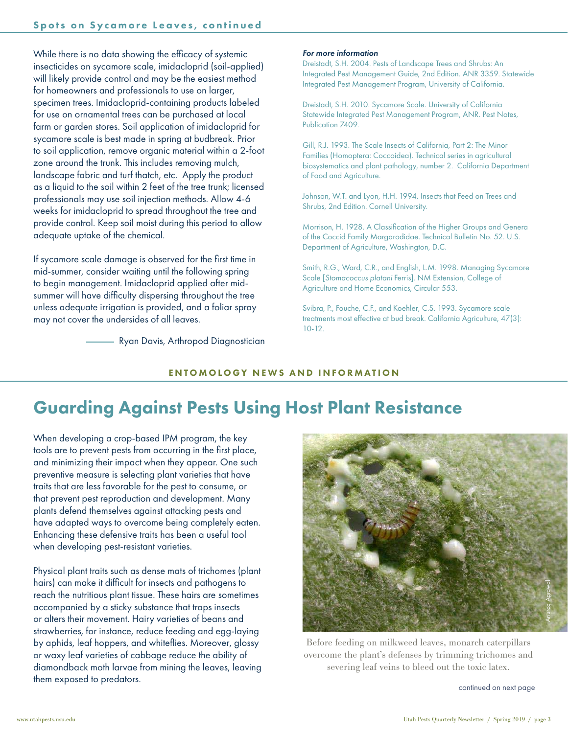While there is no data showing the efficacy of systemic insecticides on sycamore scale, imidacloprid (soil-applied) will likely provide control and may be the easiest method for homeowners and professionals to use on larger, specimen trees. Imidacloprid-containing products labeled for use on ornamental trees can be purchased at local farm or garden stores. Soil application of imidacloprid for sycamore scale is best made in spring at budbreak. Prior to soil application, remove organic material within a 2-foot zone around the trunk. This includes removing mulch, landscape fabric and turf thatch, etc. Apply the product as a liquid to the soil within 2 feet of the tree trunk; licensed professionals may use soil injection methods. Allow 4-6 weeks for imidacloprid to spread throughout the tree and provide control. Keep soil moist during this period to allow adequate uptake of the chemical.

If sycamore scale damage is observed for the first time in mid-summer, consider waiting until the following spring to begin management. Imidacloprid applied after midsummer will have difficulty dispersing throughout the tree unless adequate irrigation is provided, and a foliar spray may not cover the undersides of all leaves.

Ryan Davis, Arthropod Diagnostician

#### *For more information*

Dreistadt, S.H. 2004. Pests of Landscape Trees and Shrubs: An Integrated Pest Management Guide, 2nd Edition. ANR 3359. Statewide Integrated Pest Management Program, University of California.

Dreistadt, S.H. 2010. Sycamore Scale. University of California Statewide Integrated Pest Management Program, ANR. Pest Notes, Publication 7409.

Gill, R.J. 1993. The Scale Insects of California, Part 2: The Minor Families (Homoptera: Coccoidea). Technical series in agricultural biosystematics and plant pathology, number 2. California Department of Food and Agriculture.

Johnson, W.T. and Lyon, H.H. 1994. Insects that Feed on Trees and Shrubs, 2nd Edition. Cornell University.

Morrison, H. 1928. A Classification of the Higher Groups and Genera of the Coccid Family Margarodidae. Technical Bulletin No. 52. U.S. Department of Agriculture, Washington, D.C.

Smith, R.G., Ward, C.R., and English, L.M. 1998. Managing Sycamore Scale [*Stomacoccus platani* Ferris]. NM Extension, College of Agriculture and Home Economics, Circular 553.

Svibra, P., Fouche, C.F., and Koehler, C.S. 1993. Sycamore scale treatments most effective at bud break. California Agriculture, 47(3): 10-12.

### ENTOMOLOGY NEWS AND INFORMATION

### Guarding Against Pests Using Host Plant Resistance

When developing a crop-based IPM program, the key tools are to prevent pests from occurring in the first place, and minimizing their impact when they appear. One such preventive measure is selecting plant varieties that have traits that are less favorable for the pest to consume, or that prevent pest reproduction and development. Many plants defend themselves against attacking pests and have adapted ways to overcome being completely eaten. Enhancing these defensive traits has been a useful tool when developing pest-resistant varieties.

Physical plant traits such as dense mats of trichomes (plant hairs) can make it difficult for insects and pathogens to reach the nutritious plant tissue. These hairs are sometimes accompanied by a sticky substance that traps insects or alters their movement. Hairy varieties of beans and strawberries, for instance, reduce feeding and egg-laying by aphids, leaf hoppers, and whiteflies. Moreover, glossy or waxy leaf varieties of cabbage reduce the ability of diamondback moth larvae from mining the leaves, leaving them exposed to predators.



Before feeding on milkweed leaves, monarch caterpillars overcome the plant's defenses by trimming trichomes and severing leaf veins to bleed out the toxic latex.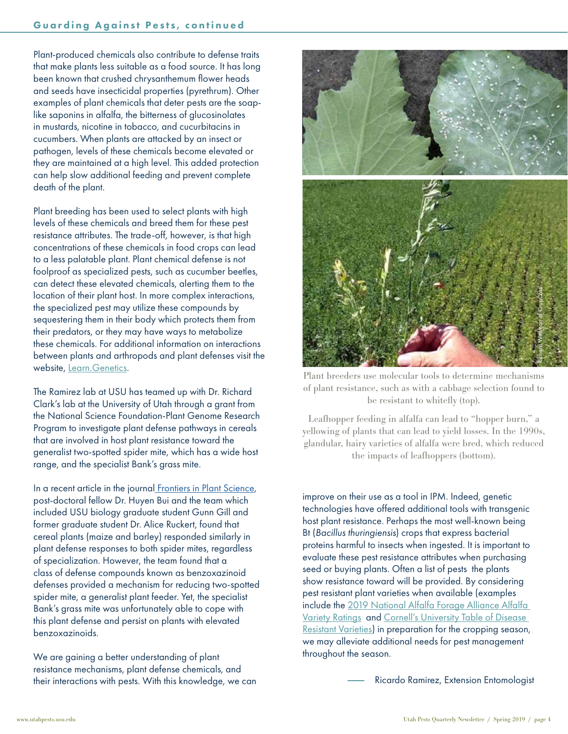Plant-produced chemicals also contribute to defense traits that make plants less suitable as a food source. It has long been known that crushed chrysanthemum flower heads and seeds have insecticidal properties (pyrethrum). Other examples of plant chemicals that deter pests are the soaplike saponins in alfalfa, the bitterness of glucosinolates in mustards, nicotine in tobacco, and cucurbitacins in cucumbers. When plants are attacked by an insect or pathogen, levels of these chemicals become elevated or they are maintained at a high level. This added protection can help slow additional feeding and prevent complete death of the plant.

Plant breeding has been used to select plants with high levels of these chemicals and breed them for these pest resistance attributes. The trade-off, however, is that high concentrations of these chemicals in food crops can lead to a less palatable plant. Plant chemical defense is not foolproof as specialized pests, such as cucumber beetles, can detect these elevated chemicals, alerting them to the location of their plant host. In more complex interactions, the specialized pest may utilize these compounds by sequestering them in their body which protects them from their predators, or they may have ways to metabolize these chemicals. For additional information on interactions between plants and arthropods and plant defenses visit the website, [Learn.Genetics.](https://learn.genetics.utah.edu/content/herbivores/)

The Ramirez lab at USU has teamed up with Dr. Richard Clark's lab at the University of Utah through a grant from the National Science Foundation-Plant Genome Research Program to investigate plant defense pathways in cereals that are involved in host plant resistance toward the generalist two-spotted spider mite, which has a wide host range, and the specialist Bank's grass mite.

In a recent article in the journa[l Frontiers in Plant Science](https://www.frontiersin.org/articles/10.3389/fpls.2018.01222/full), post-doctoral fellow Dr. Huyen Bui and the team which included USU biology graduate student Gunn Gill and former graduate student Dr. Alice Ruckert, found that cereal plants (maize and barley) responded similarly in plant defense responses to both spider mites, regardless of specialization. However, the team found that a class of defense compounds known as benzoxazinoid defenses provided a mechanism for reducing two-spotted spider mite, a generalist plant feeder. Yet, the specialist Bank's grass mite was unfortunately able to cope with this plant defense and persist on plants with elevated benzoxazinoids.

We are gaining a better understanding of plant resistance mechanisms, plant defense chemicals, and their interactions with pests. With this knowledge, we can



Plant breeders use molecular tools to determine mechanisms of plant resistance, such as with a cabbage selection found to be resistant to whitefly (top).

Leafhopper feeding in alfalfa can lead to "hopper burn," a yellowing of plants that can lead to yield losses. In the 1990s, glandular, hairy varieties of alfalfa were bred, which reduced the impacts of leafhoppers (bottom).

improve on their use as a tool in IPM. Indeed, genetic technologies have offered additional tools with transgenic host plant resistance. Perhaps the most well-known being Bt (*Bacillus thuringiensis*) crops that express bacterial proteins harmful to insects when ingested. It is important to evaluate these pest resistance attributes when purchasing seed or buying plants. Often a list of pests the plants show resistance toward will be provided. By considering pest resistant plant varieties when available (examples include the 2019 National Alfalfa Forage Alliance Alfalfa [Variety Ratings](https://www.alfalfa.org/pdf/2019_Alfalfa_Variety_Leaflet.pdf) and [Cornell's University Table of Disease](http://vegetablemdonline.ppath.cornell.edu/Tables/TableList.htm)  [Resistant Varieties](http://vegetablemdonline.ppath.cornell.edu/Tables/TableList.htm)) in preparation for the cropping season, we may alleviate additional needs for pest management throughout the season.

Ricardo Ramirez, Extension Entomologist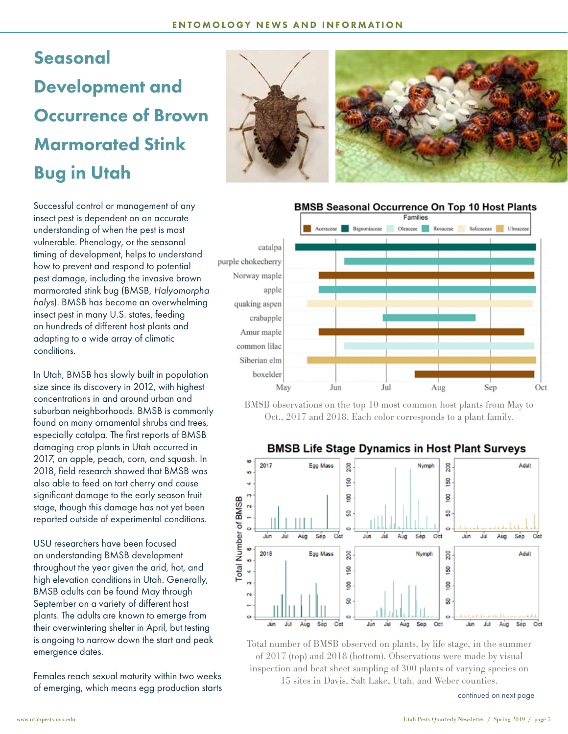## Seasonal Development and Occurrence of Brown Marmorated Stink Bug in Utah

Successful control or management of any insect pest is dependent on an accurate understanding of when the pest is most vulnerable. Phenology, or the seasonal timing of development, helps to understand how to prevent and respond to potential pest damage, including the invasive brown marmorated stink bug (BMSB, *Halyomorpha halys*). BMSB has become an overwhelming insect pest in many U.S. states, feeding on hundreds of different host plants and adapting to a wide array of climatic conditions.

In Utah, BMSB has slowly built in population size since its discovery in 2012, with highest concentrations in and around urban and suburban neighborhoods. BMSB is commonly found on many ornamental shrubs and trees, especially catalpa. The first reports of BMSB damaging crop plants in Utah occurred in 2017, on apple, peach, corn, and squash. In 2018, field research showed that BMSB was also able to feed on tart cherry and cause significant damage to the early season fruit stage, though this damage has not yet been reported outside of experimental conditions.

USU researchers have been focused on understanding BMSB development throughout the year given the arid, hot, and high elevation conditions in Utah. Generally, BMSB adults can be found May through September on a variety of different host plants. The adults are known to emerge from their overwintering shelter in April, but testing is ongoing to narrow down the start and peak emergence dates.

Females reach sexual maturity within two weeks of emerging, which means egg production starts





### **BMSB Seasonal Occurrence On Top 10 Host Plants**



BMSB observations on the top 10 most common host plants from May to Oct., 2017 and 2018. Each color corresponds to a plant family.

### **BMSB Life Stage Dynamics in Host Plant Surveys**



Total number of BMSB observed on plants, by life stage, in the summer of 2017 (top) and 2018 (bottom). Observations were made by visual inspection and beat sheet sampling of 300 plants of varying species on 15 sites in Davis, Salt Lake, Utah, and Weber counties.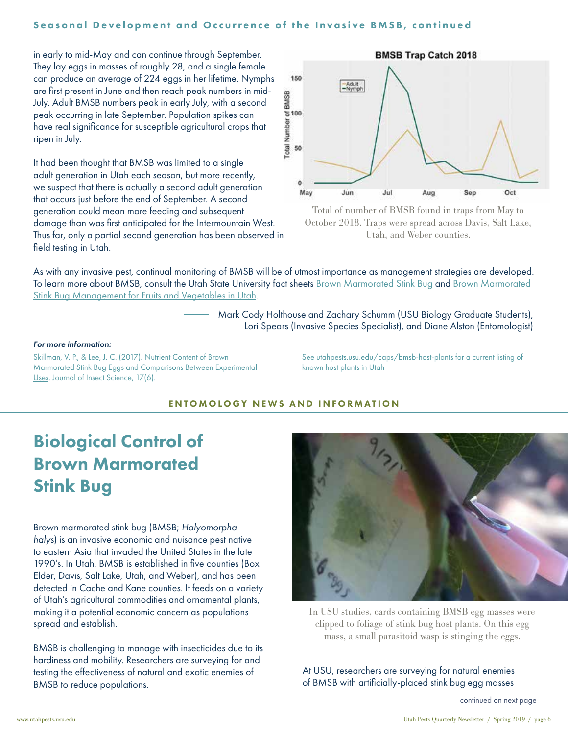in early to mid-May and can continue through September. They lay eggs in masses of roughly 28, and a single female can produce an average of 224 eggs in her lifetime. Nymphs are first present in June and then reach peak numbers in mid-July. Adult BMSB numbers peak in early July, with a second peak occurring in late September. Population spikes can have real significance for susceptible agricultural crops that ripen in July.

It had been thought that BMSB was limited to a single adult generation in Utah each season, but more recently, we suspect that there is actually a second adult generation that occurs just before the end of September. A second generation could mean more feeding and subsequent damage than was first anticipated for the Intermountain West. Thus far, only a partial second generation has been observed in field testing in Utah.





As with any invasive pest, continual monitoring of BMSB will be of utmost importance as management strategies are developed. To learn more about BMSB, consult the Utah State University fact sheets [Brown Marmorated Stink Bug](https://digitalcommons.usu.edu/cgi/viewcontent.cgi?article=2785&context=extension_curall) and Brown Marmorated [Stink Bug Management for Fruits and Vegetables in Utah](https://digitalcommons.usu.edu/cgi/viewcontent.cgi?article=2906&context=extension_curall).

> Mark Cody Holthouse and Zachary Schumm (USU Biology Graduate Students), Lori Spears (Invasive Species Specialist), and Diane Alston (Entomologist)

#### *For more information:*

Skillman, V. P., & Lee, J. C. (2017). [Nutrient Content of Brown](https://doi.org/10.1093/jisesa/iex098
)  [Marmorated Stink Bug Eggs and Comparisons Between Experimental](https://doi.org/10.1093/jisesa/iex098
)  [Uses](https://doi.org/10.1093/jisesa/iex098
). Journal of Insect Science, 17(6).

See [utahpests.usu.edu/caps/bmsb-host-plants](https://utahpests.usu.edu/caps/bmsb-host-plants) for a current listing of known host plants in Utah

### ENTOMOLOGY NEWS AND INFORMATION

### Biological Control of Brown Marmorated Stink Bug

Brown marmorated stink bug (BMSB; *Halyomorpha halys*) is an invasive economic and nuisance pest native to eastern Asia that invaded the United States in the late 1990's. In Utah, BMSB is established in five counties (Box Elder, Davis, Salt Lake, Utah, and Weber), and has been detected in Cache and Kane counties. It feeds on a variety of Utah's agricultural commodities and ornamental plants, making it a potential economic concern as populations spread and establish.

BMSB is challenging to manage with insecticides due to its hardiness and mobility. Researchers are surveying for and testing the effectiveness of natural and exotic enemies of BMSB to reduce populations.



In USU studies, cards containing BMSB egg masses were clipped to foliage of stink bug host plants. On this egg mass, a small parasitoid wasp is stinging the eggs.

At USU, researchers are surveying for natural enemies of BMSB with artificially-placed stink bug egg masses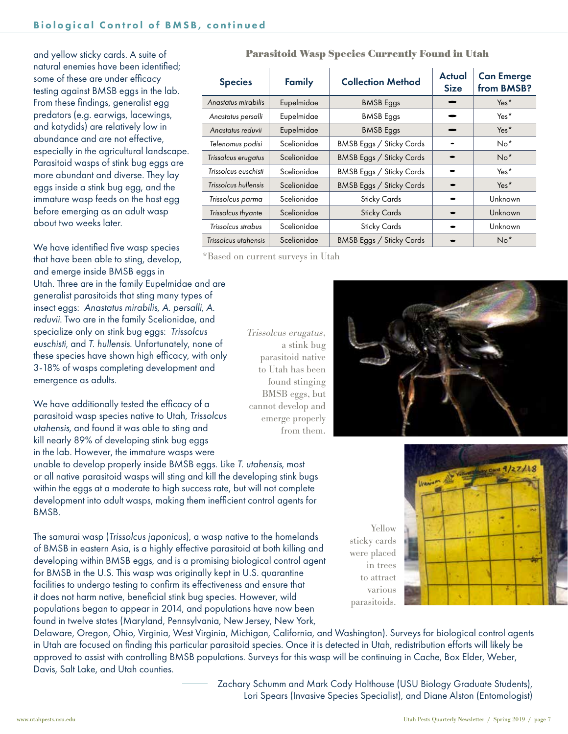and yellow sticky cards. A suite of natural enemies have been identified; some of these are under efficacy testing against BMSB eggs in the lab. From these findings, generalist egg predators (e.g. earwigs, lacewings, and katydids) are relatively low in abundance and are not effective, especially in the agricultural landscape. Parasitoid wasps of stink bug eggs are more abundant and diverse. They lay eggs inside a stink bug egg, and the immature wasp feeds on the host egg before emerging as an adult wasp about two weeks later.

We have identified five wasp species that have been able to sting, develop, and emerge inside BMSB eggs in Utah. Three are in the family Eupelmidae and are generalist parasitoids that sting many types of insect eggs: *Anastatus mirabilis, A. persalli, A. reduvii*. Two are in the family Scelionidae, and specialize only on stink bug eggs: *Trissolcus euschisti*, and *T. hullensis*. Unfortunately, none of these species have shown high efficacy, with only 3-18% of wasps completing development and emergence as adults.

We have additionally tested the efficacy of a parasitoid wasp species native to Utah, *Trissolcus utahensis*, and found it was able to sting and kill nearly 89% of developing stink bug eggs in the lab. However, the immature wasps were

unable to develop properly inside BMSB eggs. Like *T. utahensis*, most or all native parasitoid wasps will sting and kill the developing stink bugs within the eggs at a moderate to high success rate, but will not complete development into adult wasps, making them inefficient control agents for BMSB.

The samurai wasp (*Trissolcus japonicus*), a wasp native to the homelands of BMSB in eastern Asia, is a highly effective parasitoid at both killing and developing within BMSB eggs, and is a promising biological control agent for BMSB in the U.S. This wasp was originally kept in U.S. quarantine facilities to undergo testing to confirm its effectiveness and ensure that it does not harm native, beneficial stink bug species. However, wild populations began to appear in 2014, and populations have now been found in twelve states (Maryland, Pennsylvania, New Jersey, New York,

Delaware, Oregon, Ohio, Virginia, West Virginia, Michigan, California, and Washington). Surveys for biological control agents in Utah are focused on finding this particular parasitoid species. Once it is detected in Utah, redistribution efforts will likely be approved to assist with controlling BMSB populations. Surveys for this wasp will be continuing in Cache, Box Elder, Weber, Davis, Salt Lake, and Utah counties.

> Zachary Schumm and Mark Cody Holthouse (USU Biology Graduate Students), Lori Spears (Invasive Species Specialist), and Diane Alston (Entomologist)

| <b>Parasitoid Wasp Species Currently Found in Utah</b> |  |  |  |  |  |
|--------------------------------------------------------|--|--|--|--|--|
|--------------------------------------------------------|--|--|--|--|--|

| <b>Species</b>       | Family      | <b>Collection Method</b> | Actual<br><b>Size</b> | <b>Can Emerge</b><br>from BMSB? |
|----------------------|-------------|--------------------------|-----------------------|---------------------------------|
| Anastatus mirabilis  | Eupelmidae  | <b>BMSB</b> Eggs         |                       | Yes <sup>*</sup>                |
| Anastatus persalli   | Eupelmidae  | <b>BMSB</b> Eggs         |                       | Yes <sup>*</sup>                |
| Anastatus reduvii    | Eupelmidae  | <b>BMSB</b> Eggs         |                       | Yes <sup>*</sup>                |
| Telenomus podisi     | Scelionidae | BMSB Eggs / Sticky Cards |                       | $No*$                           |
| Trissolcus erugatus  | Scelionidae | BMSB Eggs / Sticky Cards |                       | $No*$                           |
| Trissolcus euschisti | Scelionidae | BMSB Eggs / Sticky Cards |                       | Yes <sup>*</sup>                |
| Trissolcus hullensis | Scelionidae | BMSB Eggs / Sticky Cards |                       | Yes*                            |
| Trissolcus parma     | Scelionidae | <b>Sticky Cards</b>      |                       | Unknown                         |
| Trissolcus thyante   | Scelionidae | <b>Sticky Cards</b>      |                       | Unknown                         |
| Trissolcus strabus   | Scelionidae | <b>Sticky Cards</b>      |                       | Unknown                         |
| Trissolcus utahensis | Scelionidae | BMSB Eggs / Sticky Cards |                       | $No*$                           |

\*Based on current surveys in Utah

Trissolcus erugatus, a stink bug parasitoid native to Utah has been found stinging BMSB eggs, but cannot develop and emerge properly from them.

> Yellow parasitoids.



sticky cards were placed in trees to attract various

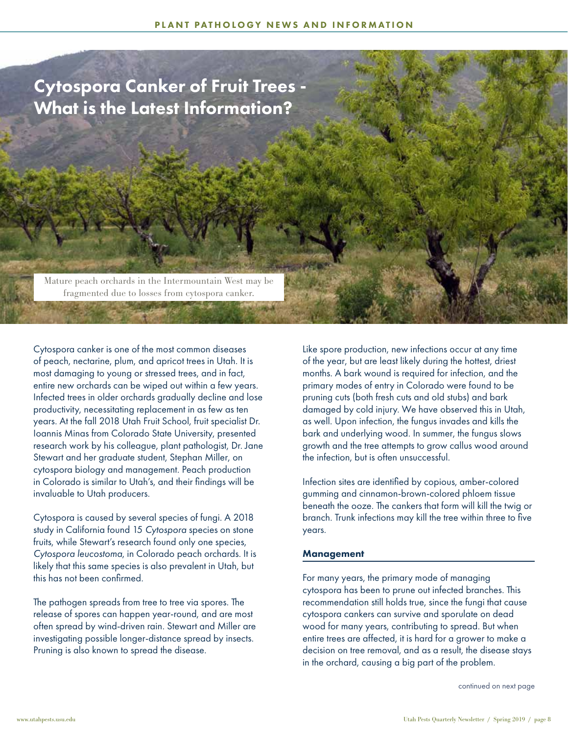### Cytospora Canker of Fruit Trees - What is the Latest Information?

Mature peach orchards in the Intermountain West may be fragmented due to losses from cytospora canker.

Cytospora canker is one of the most common diseases of peach, nectarine, plum, and apricot trees in Utah. It is most damaging to young or stressed trees, and in fact, entire new orchards can be wiped out within a few years. Infected trees in older orchards gradually decline and lose productivity, necessitating replacement in as few as ten years. At the fall 2018 Utah Fruit School, fruit specialist Dr. Ioannis Minas from Colorado State University, presented research work by his colleague, plant pathologist, Dr. Jane Stewart and her graduate student, Stephan Miller, on cytospora biology and management. Peach production in Colorado is similar to Utah's, and their findings will be invaluable to Utah producers.

Cytospora is caused by several species of fungi. A 2018 study in California found 15 *Cytospora* species on stone fruits, while Stewart's research found only one species, *Cytospora leucostoma*, in Colorado peach orchards. It is likely that this same species is also prevalent in Utah, but this has not been confirmed.

The pathogen spreads from tree to tree via spores. The release of spores can happen year-round, and are most often spread by wind-driven rain. Stewart and Miller are investigating possible longer-distance spread by insects. Pruning is also known to spread the disease.

Like spore production, new infections occur at any time of the year, but are least likely during the hottest, driest months. A bark wound is required for infection, and the primary modes of entry in Colorado were found to be pruning cuts (both fresh cuts and old stubs) and bark damaged by cold injury. We have observed this in Utah, as well. Upon infection, the fungus invades and kills the bark and underlying wood. In summer, the fungus slows growth and the tree attempts to grow callus wood around the infection, but is often unsuccessful.

Infection sites are identified by copious, amber-colored gumming and cinnamon-brown-colored phloem tissue beneath the ooze. The cankers that form will kill the twig or branch. Trunk infections may kill the tree within three to five years.

#### **Management**

For many years, the primary mode of managing cytospora has been to prune out infected branches. This recommendation still holds true, since the fungi that cause cytospora cankers can survive and sporulate on dead wood for many years, contributing to spread. But when entire trees are affected, it is hard for a grower to make a decision on tree removal, and as a result, the disease stays in the orchard, causing a big part of the problem.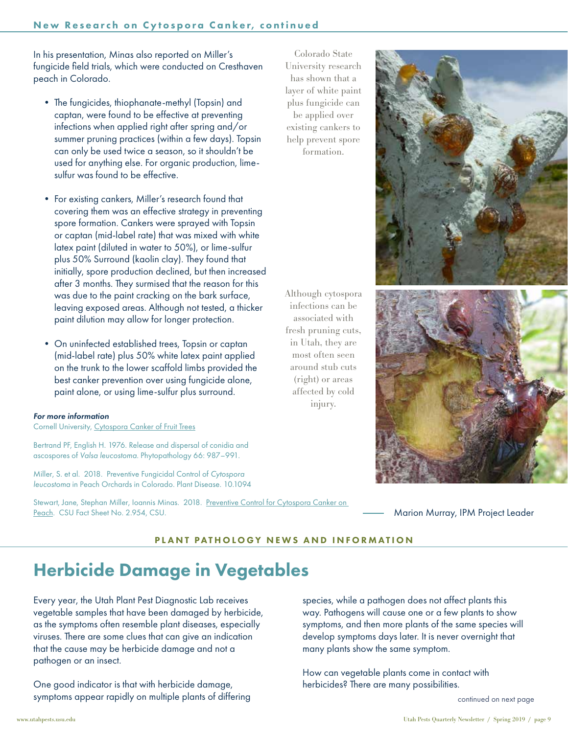In his presentation, Minas also reported on Miller's fungicide field trials, which were conducted on Cresthaven peach in Colorado.

- The fungicides, thiophanate-methyl (Topsin) and captan, were found to be effective at preventing infections when applied right after spring and/or summer pruning practices (within a few days). Topsin can only be used twice a season, so it shouldn't be used for anything else. For organic production, limesulfur was found to be effective.
- For existing cankers, Miller's research found that covering them was an effective strategy in preventing spore formation. Cankers were sprayed with Topsin or captan (mid-label rate) that was mixed with white latex paint (diluted in water to 50%), or lime-sulfur plus 50% Surround (kaolin clay). They found that initially, spore production declined, but then increased after 3 months. They surmised that the reason for this was due to the paint cracking on the bark surface, leaving exposed areas. Although not tested, a thicker paint dilution may allow for longer protection.
- On uninfected established trees, Topsin or captan (mid-label rate) plus 50% white latex paint applied on the trunk to the lower scaffold limbs provided the best canker prevention over using fungicide alone, paint alone, or using lime-sulfur plus surround.

### *For more information*

Cornell University, [Cytospora Canker of Fruit Trees](http://plantclinic.cornell.edu/factsheets/cytosporacankerfruit.pdf)

Bertrand PF, English H. 1976. Release and dispersal of conidia and ascospores of *Valsa leucostoma*. Phytopathology 66: 987–991.

Miller, S. et al. 2018. Preventive Fungicidal Control of *Cytospora leucostoma* in Peach Orchards in Colorado. Plant Disease. 10.1094

Stewart, Jane, Stephan Miller, Ioannis Minas. 2018. Preventive Control for Cytospora Canker on [Peach](https://extension.colostate.edu/topic-areas/agriculture/12556-2/). CSU Fact Sheet No. 2.954, CSU.

Colorado State University research has shown that a layer of white paint plus fungicide can be applied over existing cankers to help prevent spore formation.



Although cytospora infections can be associated with fresh pruning cuts, in Utah, they are most often seen around stub cuts (right) or areas affected by cold injury.



Marion Murray, IPM Project Leader

### PLANT PATHOLOGY NEWS AND INFORMATION

### Herbicide Damage in Vegetables

Every year, the Utah Plant Pest Diagnostic Lab receives vegetable samples that have been damaged by herbicide, as the symptoms often resemble plant diseases, especially viruses. There are some clues that can give an indication that the cause may be herbicide damage and not a pathogen or an insect.

One good indicator is that with herbicide damage, symptoms appear rapidly on multiple plants of differing

species, while a pathogen does not affect plants this way. Pathogens will cause one or a few plants to show symptoms, and then more plants of the same species will develop symptoms days later. It is never overnight that many plants show the same symptom.

How can vegetable plants come in contact with herbicides? There are many possibilities.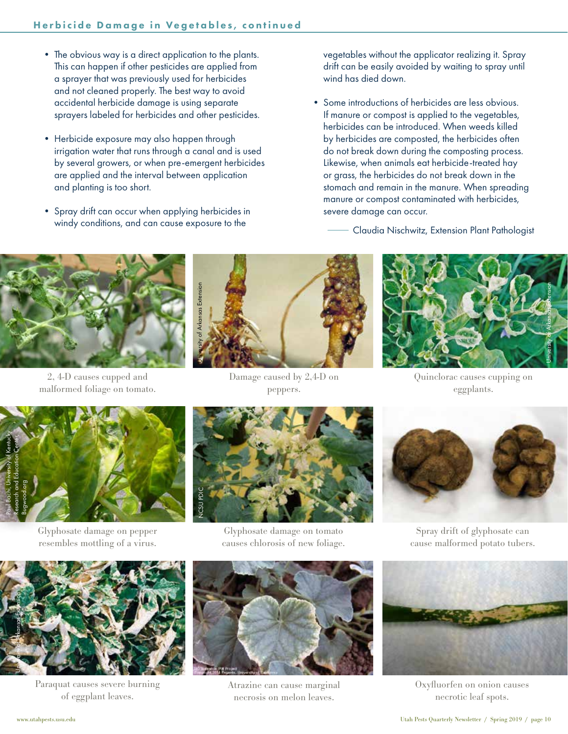- The obvious way is a direct application to the plants. This can happen if other pesticides are applied from a sprayer that was previously used for herbicides and not cleaned properly. The best way to avoid accidental herbicide damage is using separate sprayers labeled for herbicides and other pesticides.
- Herbicide exposure may also happen through irrigation water that runs through a canal and is used by several growers, or when pre-emergent herbicides are applied and the interval between application and planting is too short.
- Spray drift can occur when applying herbicides in windy conditions, and can cause exposure to the

vegetables without the applicator realizing it. Spray drift can be easily avoided by waiting to spray until wind has died down.

- Some introductions of herbicides are less obvious. If manure or compost is applied to the vegetables, herbicides can be introduced. When weeds killed by herbicides are composted, the herbicides often do not break down during the composting process. Likewise, when animals eat herbicide-treated hay or grass, the herbicides do not break down in the stomach and remain in the manure. When spreading manure or compost contaminated with herbicides, severe damage can occur.
	- Claudia Nischwitz, Extension Plant Pathologist



2, 4-D causes cupped and malformed foliage on tomato.



Damage caused by 2,4-D on peppers.



Quinclorac causes cupping on eggplants.



Glyphosate damage on pepper resembles mottling of a virus.



Glyphosate damage on tomato causes chlorosis of new foliage.



Spray drift of glyphosate can cause malformed potato tubers.



Paraquat causes severe burning of eggplant leaves.



Atrazine can cause marginal necrosis on melon leaves.



Oxyfluorfen on onion causes necrotic leaf spots.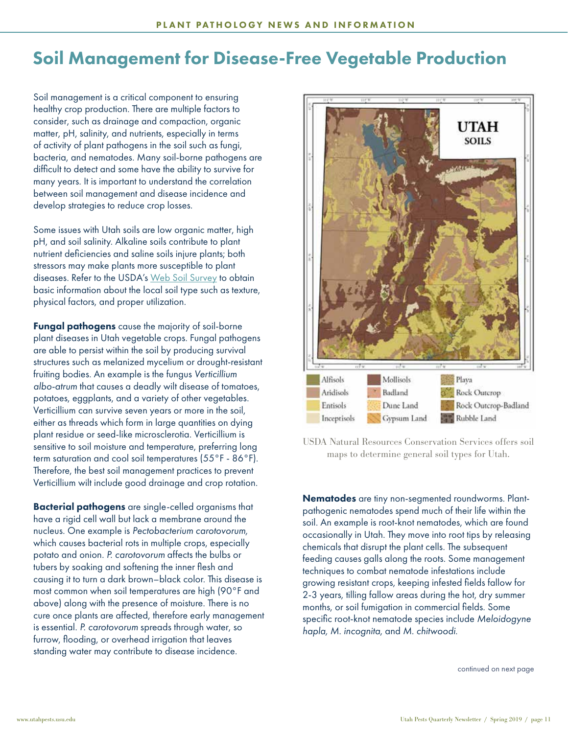### Soil Management for Disease-Free Vegetable Production

Soil management is a critical component to ensuring healthy crop production. There are multiple factors to consider, such as drainage and compaction, organic matter, pH, salinity, and nutrients, especially in terms of activity of plant pathogens in the soil such as fungi, bacteria, and nematodes. Many soil-borne pathogens are difficult to detect and some have the ability to survive for many years. It is important to understand the correlation between soil management and disease incidence and develop strategies to reduce crop losses.

Some issues with Utah soils are low organic matter, high pH, and soil salinity. Alkaline soils contribute to plant nutrient deficiencies and saline soils injure plants; both stressors may make plants more susceptible to plant diseases. Refer to the USDA's [Web Soil Survey](https://websoilsurvey.sc.egov.usda.gov/App/HomePage.htm) to obtain basic information about the local soil type such as texture, physical factors, and proper utilization.

Fungal pathogens cause the majority of soil-borne plant diseases in Utah vegetable crops. Fungal pathogens are able to persist within the soil by producing survival structures such as melanized mycelium or drought-resistant fruiting bodies. An example is the fungus *Verticillium albo-atrum* that causes a deadly wilt disease of tomatoes, potatoes, eggplants, and a variety of other vegetables. Verticillium can survive seven years or more in the soil, either as threads which form in large quantities on dying plant residue or seed-like microsclerotia. Verticillium is sensitive to soil moisture and temperature, preferring long term saturation and cool soil temperatures (55°F - 86°F). Therefore, the best soil management practices to prevent Verticillium wilt include good drainage and crop rotation.

Bacterial pathogens are single-celled organisms that have a rigid cell wall but lack a membrane around the nucleus. One example is *Pectobacterium carotovorum,* which causes bacterial rots in multiple crops, especially potato and onion. *P. carotovorum* affects the bulbs or tubers by soaking and softening the inner flesh and causing it to turn a dark brown–black color. This disease is most common when soil temperatures are high (90°F and above) along with the presence of moisture. There is no cure once plants are affected, therefore early management is essential. *P. carotovorum* spreads through water, so furrow, flooding, or overhead irrigation that leaves standing water may contribute to disease incidence.



USDA Natural Resources Conservation Services offers soil maps to determine general soil types for Utah.

Nematodes are tiny non-segmented roundworms. Plantpathogenic nematodes spend much of their life within the soil. An example is root-knot nematodes, which are found occasionally in Utah. They move into root tips by releasing chemicals that disrupt the plant cells. The subsequent feeding causes galls along the roots. Some management techniques to combat nematode infestations include growing resistant crops, keeping infested fields fallow for 2-3 years, tilling fallow areas during the hot, dry summer months, or soil fumigation in commercial fields. Some specific root-knot nematode species include *Meloidogyne hapla, M. incognita*, and *M. chitwoodi*.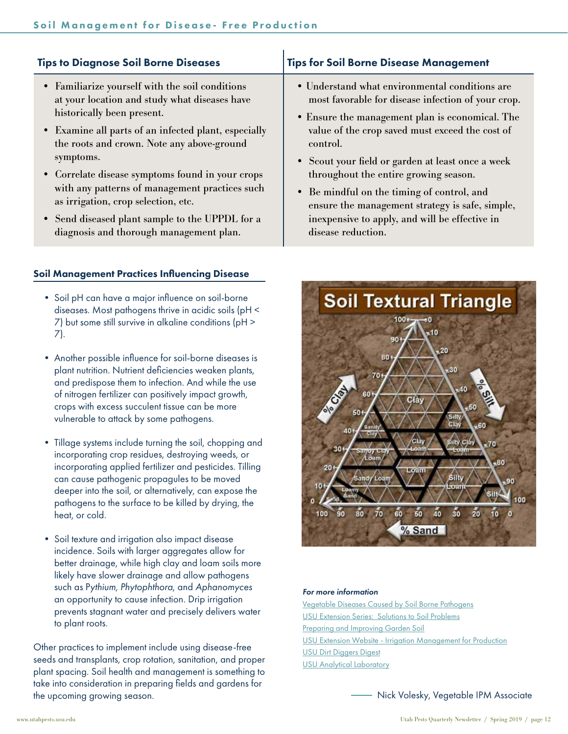| <b>Tips to Diagnose Soil Borne Diseases</b>                                                                                                                                                                                                                                                                                                                                                                                                                                                  | <b>Tips for Soil Borne Disease Management</b>                                                                                                                                                                                                                                                                                                                                                                                                                                                 |
|----------------------------------------------------------------------------------------------------------------------------------------------------------------------------------------------------------------------------------------------------------------------------------------------------------------------------------------------------------------------------------------------------------------------------------------------------------------------------------------------|-----------------------------------------------------------------------------------------------------------------------------------------------------------------------------------------------------------------------------------------------------------------------------------------------------------------------------------------------------------------------------------------------------------------------------------------------------------------------------------------------|
| • Familiarize yourself with the soil conditions<br>at your location and study what diseases have<br>historically been present.<br>• Examine all parts of an infected plant, especially<br>the roots and crown. Note any above-ground<br>symptoms.<br>• Correlate disease symptoms found in your crops<br>with any patterns of management practices such<br>as irrigation, crop selection, etc.<br>• Send diseased plant sample to the UPPDL for a<br>diagnosis and thorough management plan. | • Understand what environmental conditions are<br>most favorable for disease infection of your crop.<br>• Ensure the management plan is economical. The<br>value of the crop saved must exceed the cost of<br>control.<br>• Scout your field or garden at least once a week<br>throughout the entire growing season.<br>• Be mindful on the timing of control, and<br>ensure the management strategy is safe, simple,<br>inexpensive to apply, and will be effective in<br>disease reduction. |
| <b>Soil Management Practices Influencing Disease</b>                                                                                                                                                                                                                                                                                                                                                                                                                                         |                                                                                                                                                                                                                                                                                                                                                                                                                                                                                               |

- Soil pH can have a major influence on soil-borne diseases. Most pathogens thrive in acidic soils (pH < 7) but some still survive in alkaline conditions (pH > 7).
- Another possible influence for soil-borne diseases is plant nutrition. Nutrient deficiencies weaken plants, and predispose them to infection. And while the use of nitrogen fertilizer can positively impact growth, crops with excess succulent tissue can be more vulnerable to attack by some pathogens.
- Tillage systems include turning the soil, chopping and incorporating crop residues, destroying weeds, or incorporating applied fertilizer and pesticides. Tilling can cause pathogenic propagules to be moved deeper into the soil, or alternatively, can expose the pathogens to the surface to be killed by drying, the heat, or cold.
- Soil texture and irrigation also impact disease incidence. Soils with larger aggregates allow for better drainage, while high clay and loam soils more likely have slower drainage and allow pathogens such as P*ythium, Phytophthora*, and *Aphanomyces* an opportunity to cause infection. Drip irrigation prevents stagnant water and precisely delivers water to plant roots.

Other practices to implement include using disease-free seeds and transplants, crop rotation, sanitation, and proper plant spacing. Soil health and management is something to take into consideration in preparing fields and gardens for the upcoming growing season.



#### *For more information*

[Vegetable Diseases Caused by Soil Borne Pathogens](https://anrcatalog.ucanr.edu/pdf/8099.pdf) [USU Extension Series: Solutions to Soil Problems](https://digitalcommons.usu.edu/do/search/?q=Solutions%20to%20Soil%20Problems&start=0&context=656526&facet=) [Preparing and Improving Garden Soil](https://digitalcommons.usu.edu/cgi/viewcontent.cgi?referer=&httpsredir=1&article=2067&context=extension_curall) [USU Extension Website - Irrigation Management for Production](https://extension.usu.edu/productionhort/vegetables/irrigation) [USU Dirt Diggers Digest](https://extension.usu.edu/dirtdiggersdigest/) [USU Analytical Laboratory](http://www.usual.usu.edu/)

Nick Volesky, Vegetable IPM Associate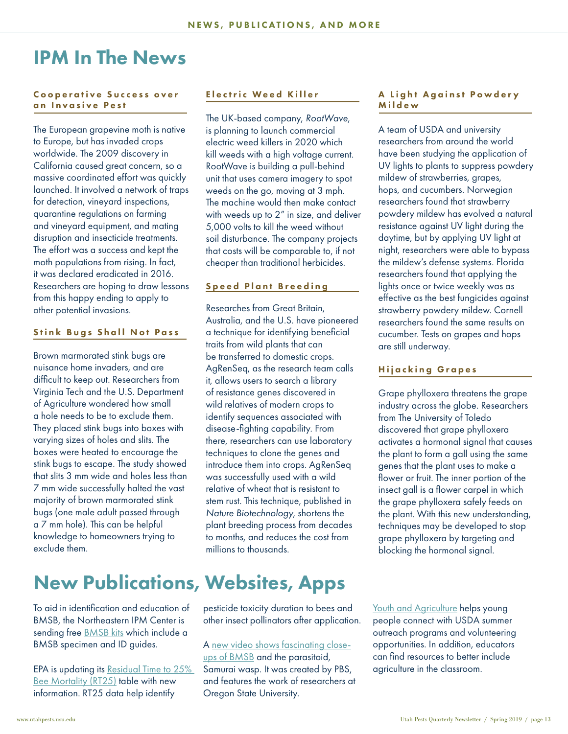### IPM In The News

### Cooperative Success over an Invasive Pest

The European grapevine moth is native to Europe, but has invaded crops worldwide. The 2009 discovery in California caused great concern, so a massive coordinated effort was quickly launched. It involved a network of traps for detection, vineyard inspections, quarantine regulations on farming and vineyard equipment, and mating disruption and insecticide treatments. The effort was a success and kept the moth populations from rising. In fact, it was declared eradicated in 2016. Researchers are hoping to draw lessons from this happy ending to apply to other potential invasions.

### Stink Bugs Shall Not Pass

Brown marmorated stink bugs are nuisance home invaders, and are difficult to keep out. Researchers from Virginia Tech and the U.S. Department of Agriculture wondered how small a hole needs to be to exclude them. They placed stink bugs into boxes with varying sizes of holes and slits. The boxes were heated to encourage the stink bugs to escape. The study showed that slits 3 mm wide and holes less than 7 mm wide successfully halted the vast majority of brown marmorated stink bugs (one male adult passed through a 7 mm hole). This can be helpful knowledge to homeowners trying to exclude them.

### New Publications, Websites, Apps

To aid in identification and education of BMSB, the Northeastern IPM Center is sending free [BMSB kits](http://stopbmsb.org/go/kits) which include a BMSB specimen and ID guides.

EPA is updating its [Residual Time to 25%](https://www.epa.gov/pollinator-protection/residual-time-25-bee-mortality-rt25-data)  [Bee Mortality \(RT25\)](https://www.epa.gov/pollinator-protection/residual-time-25-bee-mortality-rt25-data) table with new information. RT25 data help identify

### Electric Weed Killer

The UK-based company, *RootWave*, is planning to launch commercial electric weed killers in 2020 which kill weeds with a high voltage current. RootWave is building a pull-behind unit that uses camera imagery to spot weeds on the go, moving at 3 mph. The machine would then make contact with weeds up to 2" in size, and deliver 5,000 volts to kill the weed without soil disturbance. The company projects that costs will be comparable to, if not cheaper than traditional herbicides.

### Speed Plant Breeding

Researches from Great Britain, Australia, and the U.S. have pioneered a technique for identifying beneficial traits from wild plants that can be transferred to domestic crops. AgRenSeq, as the research team calls it, allows users to search a library of resistance genes discovered in wild relatives of modern crops to identify sequences associated with disease-fighting capability. From there, researchers can use laboratory techniques to clone the genes and introduce them into crops. AgRenSeq was successfully used with a wild relative of wheat that is resistant to stem rust. This technique, published in *Nature Biotechnology*, shortens the plant breeding process from decades to months, and reduces the cost from millions to thousands.

pesticide toxicity duration to bees and other insect pollinators after application.

A [new video shows fascinating close](https://www.kqed.org/science/1937639/samurai-wasps-say-smell-ya-later-stink-bugs?utm_source=facebook&utm_medium=social&utm_content=pubmedia&utm_campaign=DL_stinkbugs)[ups of BMSB](https://www.kqed.org/science/1937639/samurai-wasps-say-smell-ya-later-stink-bugs?utm_source=facebook&utm_medium=social&utm_content=pubmedia&utm_campaign=DL_stinkbugs) and the parasitoid, Samurai wasp. It was created by PBS, and features the work of researchers at Oregon State University.

### A Light Against Powdery Mildew

A team of USDA and university researchers from around the world have been studying the application of UV lights to plants to suppress powdery mildew of strawberries, grapes, hops, and cucumbers. Norwegian researchers found that strawberry powdery mildew has evolved a natural resistance against UV light during the daytime, but by applying UV light at night, researchers were able to bypass the mildew's defense systems. Florida researchers found that applying the lights once or twice weekly was as effective as the best fungicides against strawberry powdery mildew. Cornell researchers found the same results on cucumber. Tests on grapes and hops are still underway.

### Hijacking Grapes

Grape phylloxera threatens the grape industry across the globe. Researchers from The University of Toledo discovered that grape phylloxera activates a hormonal signal that causes the plant to form a gall using the same genes that the plant uses to make a flower or fruit. The inner portion of the insect gall is a flower carpel in which the grape phylloxera safely feeds on the plant. With this new understanding, techniques may be developed to stop grape phylloxera by targeting and blocking the hormonal signal.

[Youth and Agriculture](https://www.usda.gov/youth) helps young people connect with USDA summer outreach programs and volunteering opportunities. In addition, educators can find resources to better include agriculture in the classroom.